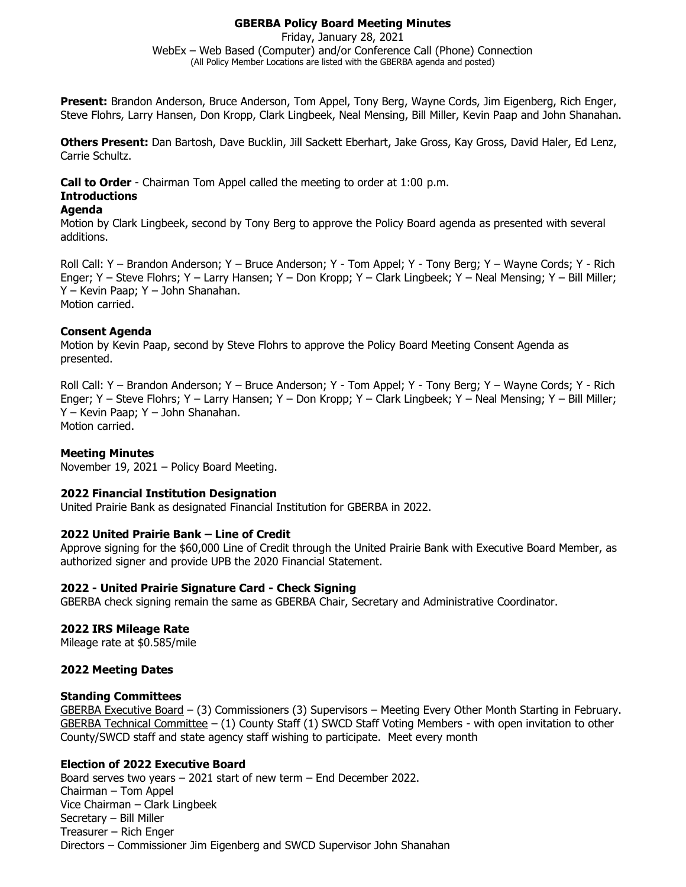# **GBERBA Policy Board Meeting Minutes**

Friday, January 28, 2021 WebEx – Web Based (Computer) and/or Conference Call (Phone) Connection (All Policy Member Locations are listed with the GBERBA agenda and posted)

**Present:** Brandon Anderson, Bruce Anderson, Tom Appel, Tony Berg, Wayne Cords, Jim Eigenberg, Rich Enger, Steve Flohrs, Larry Hansen, Don Kropp, Clark Lingbeek, Neal Mensing, Bill Miller, Kevin Paap and John Shanahan.

**Others Present:** Dan Bartosh, Dave Bucklin, Jill Sackett Eberhart, Jake Gross, Kay Gross, David Haler, Ed Lenz, Carrie Schultz.

**Call to Order** - Chairman Tom Appel called the meeting to order at 1:00 p.m.

# **Introductions**

### **Agenda**

Motion by Clark Lingbeek, second by Tony Berg to approve the Policy Board agenda as presented with several additions.

Roll Call: Y – Brandon Anderson; Y – Bruce Anderson; Y - Tom Appel; Y - Tony Berg; Y – Wayne Cords; Y - Rich Enger; Y – Steve Flohrs; Y – Larry Hansen; Y – Don Kropp; Y – Clark Lingbeek; Y – Neal Mensing; Y – Bill Miller; Y – Kevin Paap; Y – John Shanahan. Motion carried.

### **Consent Agenda**

Motion by Kevin Paap, second by Steve Flohrs to approve the Policy Board Meeting Consent Agenda as presented.

Roll Call: Y – Brandon Anderson; Y – Bruce Anderson; Y - Tom Appel; Y - Tony Berg; Y – Wayne Cords; Y - Rich Enger; Y – Steve Flohrs; Y – Larry Hansen; Y – Don Kropp; Y – Clark Lingbeek; Y – Neal Mensing; Y – Bill Miller; Y – Kevin Paap; Y – John Shanahan. Motion carried.

# **Meeting Minutes**

November 19, 2021 – Policy Board Meeting.

#### **2022 Financial Institution Designation**

United Prairie Bank as designated Financial Institution for GBERBA in 2022.

#### **2022 United Prairie Bank – Line of Credit**

Approve signing for the \$60,000 Line of Credit through the United Prairie Bank with Executive Board Member, as authorized signer and provide UPB the 2020 Financial Statement.

#### **2022 - United Prairie Signature Card - Check Signing**

GBERBA check signing remain the same as GBERBA Chair, Secretary and Administrative Coordinator.

#### **2022 IRS Mileage Rate**

Mileage rate at \$0.585/mile

#### **2022 Meeting Dates**

#### **Standing Committees**

GBERBA Executive Board – (3) Commissioners (3) Supervisors – Meeting Every Other Month Starting in February. GBERBA Technical Committee  $- (1)$  County Staff  $(1)$  SWCD Staff Voting Members - with open invitation to other County/SWCD staff and state agency staff wishing to participate. Meet every month

# **Election of 2022 Executive Board**

Board serves two years – 2021 start of new term – End December 2022. Chairman – Tom Appel Vice Chairman – Clark Lingbeek Secretary – Bill Miller Treasurer – Rich Enger Directors – Commissioner Jim Eigenberg and SWCD Supervisor John Shanahan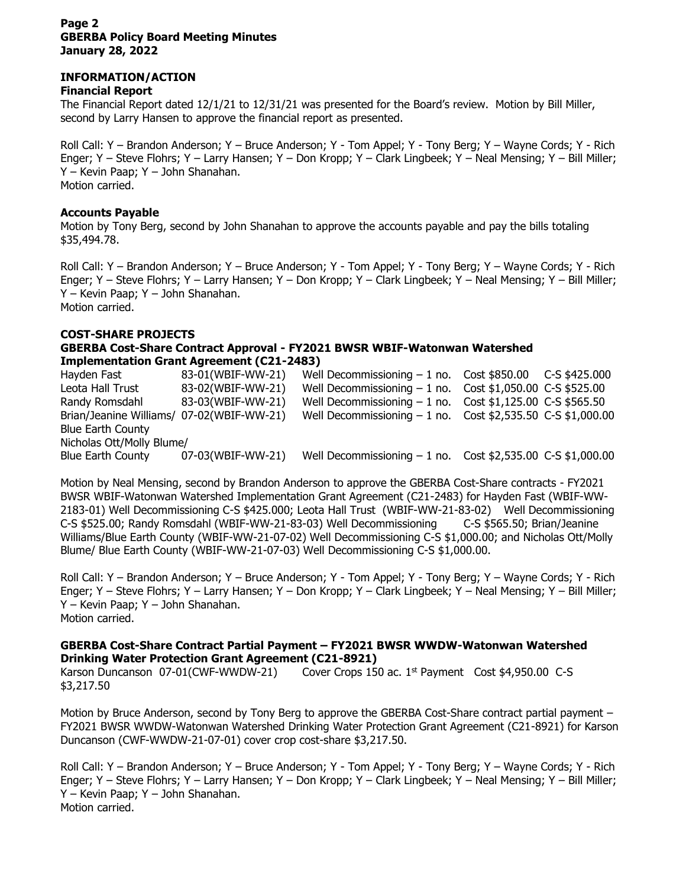#### **Page 2 GBERBA Policy Board Meeting Minutes January 28, 2022**

# **INFORMATION/ACTION**

### **Financial Report**

The Financial Report dated 12/1/21 to 12/31/21 was presented for the Board's review. Motion by Bill Miller, second by Larry Hansen to approve the financial report as presented.

Roll Call: Y – Brandon Anderson; Y – Bruce Anderson; Y - Tom Appel; Y - Tony Berg; Y – Wayne Cords; Y - Rich Enger; Y – Steve Flohrs; Y – Larry Hansen; Y – Don Kropp; Y – Clark Lingbeek; Y – Neal Mensing; Y – Bill Miller; Y – Kevin Paap; Y – John Shanahan. Motion carried.

### **Accounts Payable**

Motion by Tony Berg, second by John Shanahan to approve the accounts payable and pay the bills totaling \$35,494.78.

Roll Call: Y – Brandon Anderson; Y – Bruce Anderson; Y - Tom Appel; Y - Tony Berg; Y – Wayne Cords; Y - Rich Enger; Y – Steve Flohrs; Y – Larry Hansen; Y – Don Kropp; Y – Clark Lingbeek; Y – Neal Mensing; Y – Bill Miller; Y – Kevin Paap; Y – John Shanahan. Motion carried.

### **COST-SHARE PROJECTS**

### **GBERBA Cost-Share Contract Approval - FY2021 BWSR WBIF-Watonwan Watershed Implementation Grant Agreement (C21-2483)**

Hayden Fast 63-01(WBIF-WW-21) Well Decommissioning – 1 no. Cost \$850.00 C-S \$425.000 Leota Hall Trust 83-02(WBIF-WW-21) Well Decommissioning – 1 no. Cost \$1,050.00 C-S \$525.00 Randy Romsdahl  $83-03(WBIF-WW-21)$  Well Decommissioning  $-1$  no. Cost \$1,125.00 C-S \$565.50 Brian/Jeanine Williams/ 07-02(WBIF-WW-21) Well Decommissioning – 1 no. Cost \$2,535.50 C-S \$1,000.00 Blue Earth County Nicholas Ott/Molly Blume/ Blue Earth County  $07-03(WBIF-WW-21)$  Well Decommissioning  $-1$  no. Cost \$2,535.00 C-S \$1,000.00

Motion by Neal Mensing, second by Brandon Anderson to approve the GBERBA Cost-Share contracts - FY2021 BWSR WBIF-Watonwan Watershed Implementation Grant Agreement (C21-2483) for Hayden Fast (WBIF-WW-2183-01) Well Decommissioning C-S \$425.000; Leota Hall Trust (WBIF-WW-21-83-02) Well Decommissioning C-S \$525.00; Randy Romsdahl (WBIF-WW-21-83-03) Well Decommissioning C-S \$565.50; Brian/Jeanine Williams/Blue Earth County (WBIF-WW-21-07-02) Well Decommissioning C-S \$1,000.00; and Nicholas Ott/Molly Blume/ Blue Earth County (WBIF-WW-21-07-03) Well Decommissioning C-S \$1,000.00.

Roll Call: Y – Brandon Anderson; Y – Bruce Anderson; Y - Tom Appel; Y - Tony Berg; Y – Wayne Cords; Y - Rich Enger; Y – Steve Flohrs; Y – Larry Hansen; Y – Don Kropp; Y – Clark Lingbeek; Y – Neal Mensing; Y – Bill Miller; Y – Kevin Paap; Y – John Shanahan. Motion carried.

### **GBERBA Cost-Share Contract Partial Payment – FY2021 BWSR WWDW-Watonwan Watershed Drinking Water Protection Grant Agreement (C21-8921)**

Karson Duncanson 07-01(CWF-WWDW-21) Cover Crops 150 ac. 1<sup>st</sup> Payment Cost \$4,950.00 C-S \$3,217.50

Motion by Bruce Anderson, second by Tony Berg to approve the GBERBA Cost-Share contract partial payment – FY2021 BWSR WWDW-Watonwan Watershed Drinking Water Protection Grant Agreement (C21-8921) for Karson Duncanson (CWF-WWDW-21-07-01) cover crop cost-share \$3,217.50.

Roll Call: Y – Brandon Anderson; Y – Bruce Anderson; Y - Tom Appel; Y - Tony Berg; Y – Wayne Cords; Y - Rich Enger; Y – Steve Flohrs; Y – Larry Hansen; Y – Don Kropp; Y – Clark Lingbeek; Y – Neal Mensing; Y – Bill Miller; Y – Kevin Paap; Y – John Shanahan. Motion carried.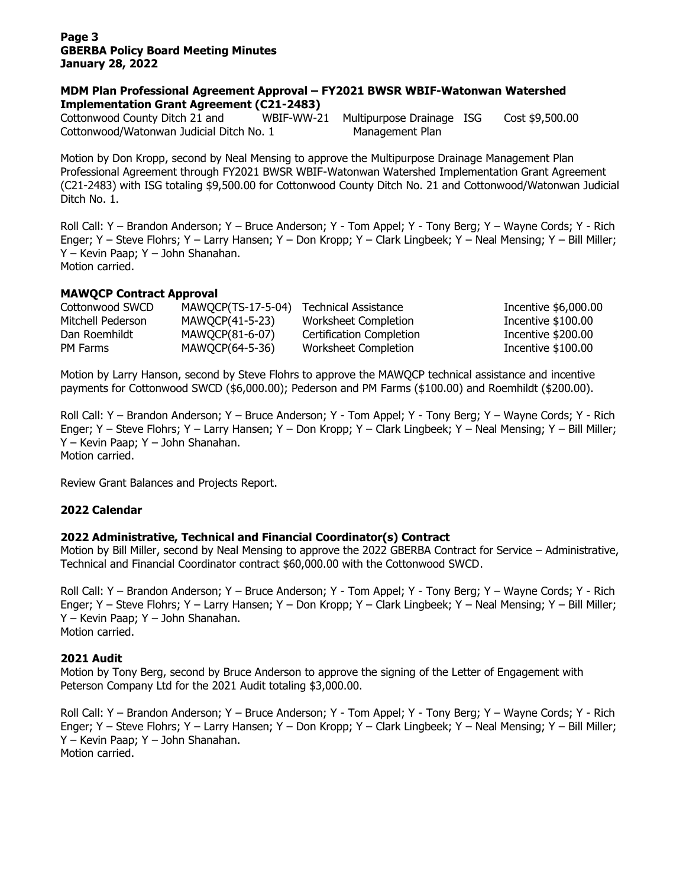#### **Page 3 GBERBA Policy Board Meeting Minutes January 28, 2022**

#### **MDM Plan Professional Agreement Approval – FY2021 BWSR WBIF-Watonwan Watershed Implementation Grant Agreement (C21-2483)**

Cottonwood County Ditch 21 and WBIF-WW-21 Multipurpose Drainage ISG Cost \$9,500.00 Cottonwood/Watonwan Judicial Ditch No. 1 Management Plan

Motion by Don Kropp, second by Neal Mensing to approve the Multipurpose Drainage Management Plan Professional Agreement through FY2021 BWSR WBIF-Watonwan Watershed Implementation Grant Agreement (C21-2483) with ISG totaling \$9,500.00 for Cottonwood County Ditch No. 21 and Cottonwood/Watonwan Judicial Ditch No. 1.

Roll Call: Y – Brandon Anderson; Y – Bruce Anderson; Y - Tom Appel; Y - Tony Berg; Y – Wayne Cords; Y - Rich Enger; Y – Steve Flohrs; Y – Larry Hansen; Y – Don Kropp; Y – Clark Lingbeek; Y – Neal Mensing; Y – Bill Miller; Y – Kevin Paap; Y – John Shanahan. Motion carried.

# **MAWQCP Contract Approval**

| Cottonwood SWCD   | MAWQCP(TS-17-5-04) | Technical Assistance     | Incentive \$6,000.00 |
|-------------------|--------------------|--------------------------|----------------------|
| Mitchell Pederson | MAWOCP(41-5-23)    | Worksheet Completion     | Incentive \$100.00   |
| Dan Roemhildt     | MAWOCP(81-6-07)    | Certification Completion | Incentive \$200.00   |
| PM Farms          | MAWOCP(64-5-36)    | Worksheet Completion     | Incentive \$100.00   |

Motion by Larry Hanson, second by Steve Flohrs to approve the MAWQCP technical assistance and incentive payments for Cottonwood SWCD (\$6,000.00); Pederson and PM Farms (\$100.00) and Roemhildt (\$200.00).

Roll Call: Y – Brandon Anderson; Y – Bruce Anderson; Y - Tom Appel; Y - Tony Berg; Y – Wayne Cords; Y - Rich Enger; Y – Steve Flohrs; Y – Larry Hansen; Y – Don Kropp; Y – Clark Lingbeek; Y – Neal Mensing; Y – Bill Miller; Y – Kevin Paap; Y – John Shanahan. Motion carried.

Review Grant Balances and Projects Report.

# **2022 Calendar**

# **2022 Administrative, Technical and Financial Coordinator(s) Contract**

Motion by Bill Miller, second by Neal Mensing to approve the 2022 GBERBA Contract for Service – Administrative, Technical and Financial Coordinator contract \$60,000.00 with the Cottonwood SWCD.

Roll Call: Y – Brandon Anderson; Y – Bruce Anderson; Y - Tom Appel; Y - Tony Berg; Y – Wayne Cords; Y - Rich Enger; Y – Steve Flohrs; Y – Larry Hansen; Y – Don Kropp; Y – Clark Lingbeek; Y – Neal Mensing; Y – Bill Miller; Y – Kevin Paap; Y – John Shanahan. Motion carried.

#### **2021 Audit**

Motion by Tony Berg, second by Bruce Anderson to approve the signing of the Letter of Engagement with Peterson Company Ltd for the 2021 Audit totaling \$3,000.00.

Roll Call: Y – Brandon Anderson; Y – Bruce Anderson; Y - Tom Appel; Y - Tony Berg; Y – Wayne Cords; Y - Rich Enger; Y – Steve Flohrs; Y – Larry Hansen; Y – Don Kropp; Y – Clark Lingbeek; Y – Neal Mensing; Y – Bill Miller; Y – Kevin Paap; Y – John Shanahan. Motion carried.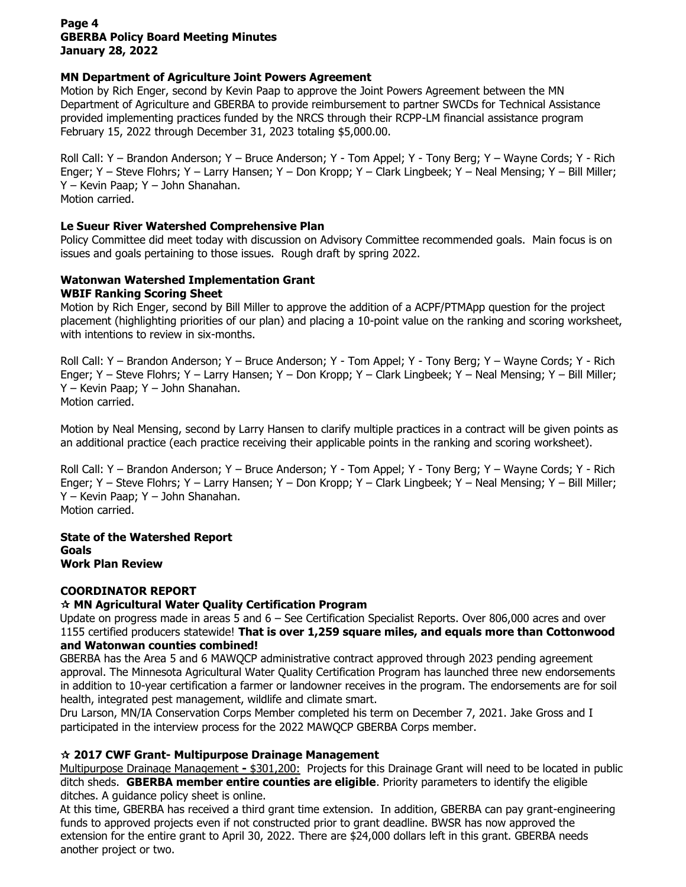### **Page 4 GBERBA Policy Board Meeting Minutes January 28, 2022**

# **MN Department of Agriculture Joint Powers Agreement**

Motion by Rich Enger, second by Kevin Paap to approve the Joint Powers Agreement between the MN Department of Agriculture and GBERBA to provide reimbursement to partner SWCDs for Technical Assistance provided implementing practices funded by the NRCS through their RCPP-LM financial assistance program February 15, 2022 through December 31, 2023 totaling \$5,000.00.

Roll Call: Y – Brandon Anderson; Y – Bruce Anderson; Y - Tom Appel; Y - Tony Berg; Y – Wayne Cords; Y - Rich Enger; Y – Steve Flohrs; Y – Larry Hansen; Y – Don Kropp; Y – Clark Lingbeek; Y – Neal Mensing; Y – Bill Miller; Y – Kevin Paap; Y – John Shanahan. Motion carried.

### **Le Sueur River Watershed Comprehensive Plan**

Policy Committee did meet today with discussion on Advisory Committee recommended goals. Main focus is on issues and goals pertaining to those issues. Rough draft by spring 2022.

# **Watonwan Watershed Implementation Grant**

### **WBIF Ranking Scoring Sheet**

Motion by Rich Enger, second by Bill Miller to approve the addition of a ACPF/PTMApp question for the project placement (highlighting priorities of our plan) and placing a 10-point value on the ranking and scoring worksheet, with intentions to review in six-months.

Roll Call: Y – Brandon Anderson; Y – Bruce Anderson; Y - Tom Appel; Y - Tony Berg; Y – Wayne Cords; Y - Rich Enger; Y – Steve Flohrs; Y – Larry Hansen; Y – Don Kropp; Y – Clark Lingbeek; Y – Neal Mensing; Y – Bill Miller; Y – Kevin Paap; Y – John Shanahan. Motion carried.

Motion by Neal Mensing, second by Larry Hansen to clarify multiple practices in a contract will be given points as an additional practice (each practice receiving their applicable points in the ranking and scoring worksheet).

Roll Call: Y – Brandon Anderson; Y – Bruce Anderson; Y - Tom Appel; Y - Tony Berg; Y – Wayne Cords; Y - Rich Enger; Y – Steve Flohrs; Y – Larry Hansen; Y – Don Kropp; Y – Clark Lingbeek; Y – Neal Mensing; Y – Bill Miller; Y – Kevin Paap; Y – John Shanahan. Motion carried.

**State of the Watershed Report Goals Work Plan Review**

# **COORDINATOR REPORT**

# **MN Agricultural Water Quality Certification Program**

Update on progress made in areas 5 and 6 – See Certification Specialist Reports. Over 806,000 acres and over 1155 certified producers statewide! **That is over 1,259 square miles, and equals more than Cottonwood and Watonwan counties combined!**

GBERBA has the Area 5 and 6 MAWQCP administrative contract approved through 2023 pending agreement approval. The Minnesota Agricultural Water Quality Certification Program has launched three new endorsements in addition to 10-year certification a farmer or landowner receives in the program. The endorsements are for soil health, integrated pest management, wildlife and climate smart.

Dru Larson, MN/IA Conservation Corps Member completed his term on December 7, 2021. Jake Gross and I participated in the interview process for the 2022 MAWQCP GBERBA Corps member.

# **2017 CWF Grant- Multipurpose Drainage Management**

Multipurpose Drainage Management **-** \$301,200: Projects for this Drainage Grant will need to be located in public ditch sheds. **GBERBA member entire counties are eligible**. Priority parameters to identify the eligible ditches. A guidance policy sheet is online.

At this time, GBERBA has received a third grant time extension. In addition, GBERBA can pay grant-engineering funds to approved projects even if not constructed prior to grant deadline. BWSR has now approved the extension for the entire grant to April 30, 2022. There are \$24,000 dollars left in this grant. GBERBA needs another project or two.